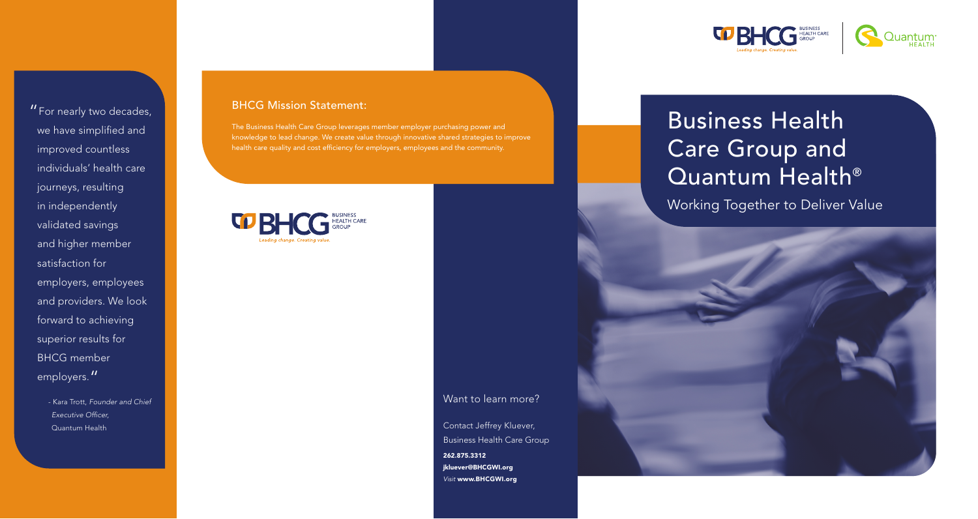#### Want to learn more?

Contact Jeffrey Kluever, Business Health Care Group 262.875.3312 jkluever@BHCGWI.org *Visit* www.BHCGWI.org





#### BHCG Mission Statement:

The Business Health Care Group leverages member employer purchasing power and knowledge to lead change. We create value through innovative shared strategies to improve health care quality and cost efficiency for employers, employees and the community.



"For nearly two decades, we have simplified and improved countless individuals' health care journeys, resulting in independently validated savings and higher member satisfaction for employers, employees and providers. We look forward to achieving superior results for BHCG member employers."

> - Kara Trott, *Founder and Chief Executive Officer,*  Quantum Health

# Business Health Care Group and Quantum Health®

Working Together to Deliver Value